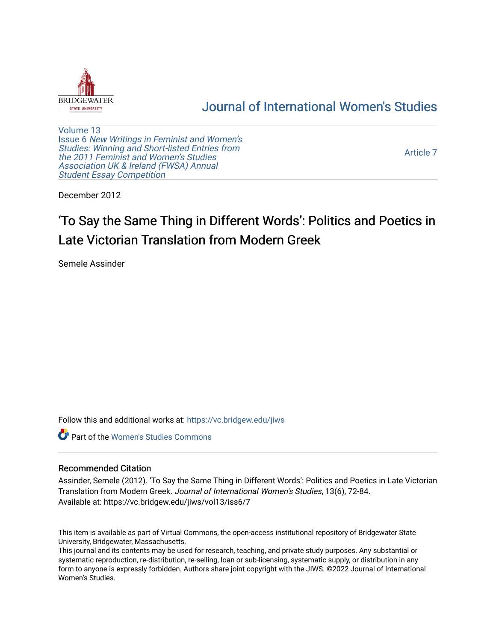

# [Journal of International Women's Studies](https://vc.bridgew.edu/jiws)

[Volume 13](https://vc.bridgew.edu/jiws/vol13) Issue 6 [New Writings in Feminist and Women's](https://vc.bridgew.edu/jiws/vol13/iss6)  [Studies: Winning and Short-listed Entries from](https://vc.bridgew.edu/jiws/vol13/iss6)  [the 2011 Feminist and Women's Studies](https://vc.bridgew.edu/jiws/vol13/iss6)  [Association UK & Ireland \(FWSA\) Annual](https://vc.bridgew.edu/jiws/vol13/iss6)  **Student Essay Competition** 

[Article 7](https://vc.bridgew.edu/jiws/vol13/iss6/7) 

December 2012

# 'To Say the Same Thing in Different Words': Politics and Poetics in Late Victorian Translation from Modern Greek

Semele Assinder

Follow this and additional works at: [https://vc.bridgew.edu/jiws](https://vc.bridgew.edu/jiws?utm_source=vc.bridgew.edu%2Fjiws%2Fvol13%2Fiss6%2F7&utm_medium=PDF&utm_campaign=PDFCoverPages)

Part of the [Women's Studies Commons](http://network.bepress.com/hgg/discipline/561?utm_source=vc.bridgew.edu%2Fjiws%2Fvol13%2Fiss6%2F7&utm_medium=PDF&utm_campaign=PDFCoverPages) 

#### Recommended Citation

Assinder, Semele (2012). 'To Say the Same Thing in Different Words': Politics and Poetics in Late Victorian Translation from Modern Greek. Journal of International Women's Studies, 13(6), 72-84. Available at: https://vc.bridgew.edu/jiws/vol13/iss6/7

This item is available as part of Virtual Commons, the open-access institutional repository of Bridgewater State University, Bridgewater, Massachusetts.

This journal and its contents may be used for research, teaching, and private study purposes. Any substantial or systematic reproduction, re-distribution, re-selling, loan or sub-licensing, systematic supply, or distribution in any form to anyone is expressly forbidden. Authors share joint copyright with the JIWS. ©2022 Journal of International Women's Studies.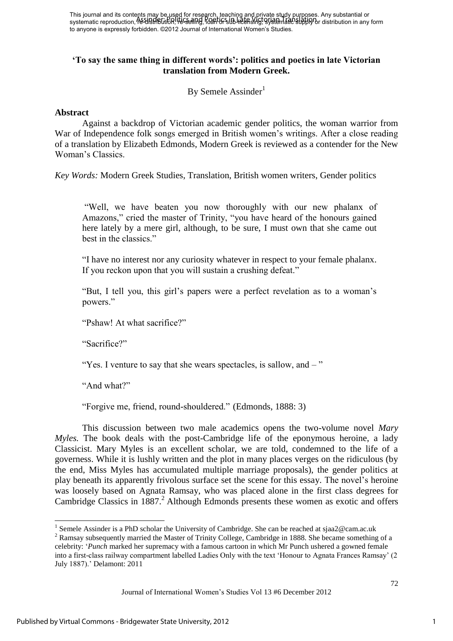## **'To say the same thing in different words': politics and poetics in late Victorian translation from Modern Greek.**

By Semele Assinder<sup>1</sup>

### **Abstract**

Against a backdrop of Victorian academic gender politics, the woman warrior from War of Independence folk songs emerged in British women's writings. After a close reading of a translation by Elizabeth Edmonds, Modern Greek is reviewed as a contender for the New Woman"s Classics.

*Key Words:* Modern Greek Studies, Translation, British women writers, Gender politics

"Well, we have beaten you now thoroughly with our new phalanx of Amazons," cried the master of Trinity, "you have heard of the honours gained here lately by a mere girl, although, to be sure, I must own that she came out best in the classics."

"I have no interest nor any curiosity whatever in respect to your female phalanx. If you reckon upon that you will sustain a crushing defeat."

"But, I tell you, this girl"s papers were a perfect revelation as to a woman"s powers."

"Pshaw! At what sacrifice?"

"Sacrifice?"

"Yes. I venture to say that she wears spectacles, is sallow, and – "

"And what?"

"Forgive me, friend, round-shouldered." (Edmonds, 1888: 3)

This discussion between two male academics opens the two-volume novel *Mary Myles.* The book deals with the post-Cambridge life of the eponymous heroine, a lady Classicist. Mary Myles is an excellent scholar, we are told, condemned to the life of a governess. While it is lushly written and the plot in many places verges on the ridiculous (by the end, Miss Myles has accumulated multiple marriage proposals), the gender politics at play beneath its apparently frivolous surface set the scene for this essay. The novel"s heroine was loosely based on Agnata Ramsay, who was placed alone in the first class degrees for Cambridge Classics in  $1887<sup>2</sup>$  Although Edmonds presents these women as exotic and offers

<sup>&</sup>lt;sup>1</sup> Semele Assinder is a PhD scholar the University of Cambridge. She can be reached at sjaa2@cam.ac.uk

 $2$  Ramsay subsequently married the Master of Trinity College, Cambridge in 1888. She became something of a celebrity: "*Punch* marked her supremacy with a famous cartoon in which Mr Punch ushered a gowned female into a first-class railway compartment labelled Ladies Only with the text "Honour to Agnata Frances Ramsay" (2 July 1887)." Delamont: 2011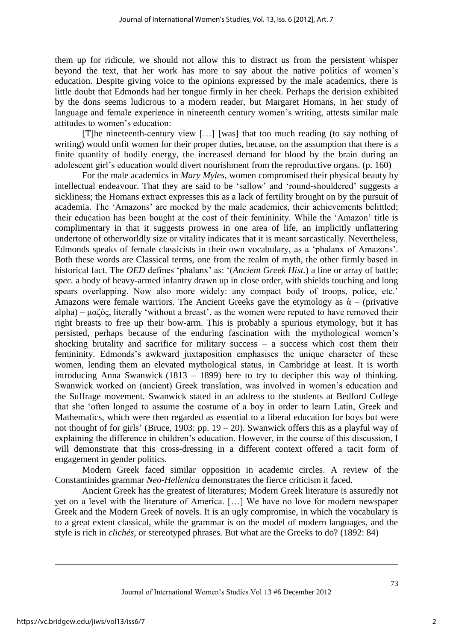them up for ridicule, we should not allow this to distract us from the persistent whisper beyond the text, that her work has more to say about the native politics of women"s education. Despite giving voice to the opinions expressed by the male academics, there is little doubt that Edmonds had her tongue firmly in her cheek. Perhaps the derision exhibited by the dons seems ludicrous to a modern reader, but Margaret Homans, in her study of language and female experience in nineteenth century women's writing, attests similar male attitudes to women"s education:

[T]he nineteenth-century view […] [was] that too much reading (to say nothing of writing) would unfit women for their proper duties, because, on the assumption that there is a finite quantity of bodily energy, the increased demand for blood by the brain during an adolescent girl"s education would divert nourishment from the reproductive organs. (p. 160)

For the male academics in *Mary Myles*, women compromised their physical beauty by intellectual endeavour. That they are said to be "sallow" and "round-shouldered" suggests a sickliness; the Homans extract expresses this as a lack of fertility brought on by the pursuit of academia. The 'Amazons' are mocked by the male academics, their achievements belittled; their education has been bought at the cost of their femininity. While the "Amazon" title is complimentary in that it suggests prowess in one area of life, an implicitly unflattering undertone of otherworldly size or vitality indicates that it is meant sarcastically. Nevertheless, Edmonds speaks of female classicists in their own vocabulary, as a "phalanx of Amazons". Both these words are Classical terms, one from the realm of myth, the other firmly based in historical fact. The *OED* defines "phalanx" as: "(*Ancient Greek Hist.*) a line or array of battle; *spec.* a body of heavy-armed infantry drawn up in close order, with shields touching and long spears overlapping. Now also more widely: any compact body of troops, police, etc.' Amazons were female warriors. The Ancient Greeks gave the etymology as  $\dot{\alpha}$  – (privative alpha) –  $\mu\alpha\zeta\delta\zeta$ , literally 'without a breast', as the women were reputed to have removed their right breasts to free up their bow-arm. This is probably a spurious etymology, but it has persisted, perhaps because of the enduring fascination with the mythological women"s shocking brutality and sacrifice for military success  $-$  a success which cost them their femininity. Edmonds's awkward juxtaposition emphasises the unique character of these women, lending them an elevated mythological status, in Cambridge at least. It is worth introducing Anna Swanwick (1813 – 1899) here to try to decipher this way of thinking. Swanwick worked on (ancient) Greek translation, was involved in women"s education and the Suffrage movement. Swanwick stated in an address to the students at Bedford College that she "often longed to assume the costume of a boy in order to learn Latin, Greek and Mathematics, which were then regarded as essential to a liberal education for boys but were not thought of for girls' (Bruce, 1903: pp.  $19 - 20$ ). Swanwick offers this as a playful way of explaining the difference in children"s education. However, in the course of this discussion, I will demonstrate that this cross-dressing in a different context offered a tacit form of engagement in gender politics.

Modern Greek faced similar opposition in academic circles. A review of the Constantinides grammar *Neo-Hellenica* demonstrates the fierce criticism it faced.

Ancient Greek has the greatest of literatures; Modern Greek literature is assuredly not yet on a level with the literature of America. […] We have no love for modern newspaper Greek and the Modern Greek of novels. It is an ugly compromise, in which the vocabulary is to a great extent classical, while the grammar is on the model of modern languages, and the style is rich in *clichés,* or stereotyped phrases. But what are the Greeks to do? (1892: 84)

 $\overline{\phantom{a}}$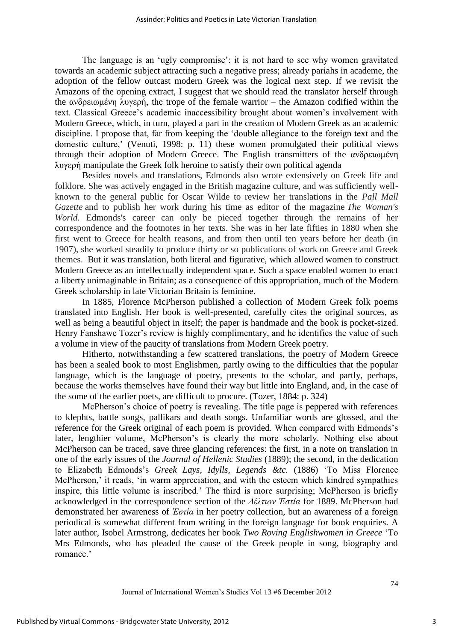The language is an 'ugly compromise': it is not hard to see why women gravitated towards an academic subject attracting such a negative press; already pariahs in academe, the adoption of the fellow outcast modern Greek was the logical next step. If we revisit the Amazons of the opening extract, I suggest that we should read the translator herself through the ανδρειωμένη λυγερή, the trope of the female warrior – the Amazon codified within the text. Classical Greece"s academic inaccessibility brought about women"s involvement with Modern Greece, which, in turn, played a part in the creation of Modern Greek as an academic discipline. I propose that, far from keeping the "double allegiance to the foreign text and the domestic culture,' (Venuti, 1998: p. 11) these women promulgated their political views through their adoption of Modern Greece. The English transmitters of the ανδρειωμένη λυγερή manipulate the Greek folk heroine to satisfy their own political agenda

Besides novels and translations, Edmonds also wrote extensively on Greek life and folklore. She was actively engaged in the British magazine culture, and was sufficiently wellknown to the general public for Oscar Wilde to review her translations in the *Pall Mall Gazette* and to publish her work during his time as editor of the magazine *The Woman's World.* Edmonds's career can only be pieced together through the remains of her correspondence and the footnotes in her texts. She was in her late fifties in 1880 when she first went to Greece for health reasons, and from then until ten years before her death (in 1907), she worked steadily to produce thirty or so publications of work on Greece and Greek themes. But it was translation, both literal and figurative, which allowed women to construct Modern Greece as an intellectually independent space. Such a space enabled women to enact a liberty unimaginable in Britain; as a consequence of this appropriation, much of the Modern Greek scholarship in late Victorian Britain is feminine.

In 1885, Florence McPherson published a collection of Modern Greek folk poems translated into English. Her book is well-presented, carefully cites the original sources, as well as being a beautiful object in itself; the paper is handmade and the book is pocket-sized. Henry Fanshawe Tozer's review is highly complimentary, and he identifies the value of such a volume in view of the paucity of translations from Modern Greek poetry.

Hitherto, notwithstanding a few scattered translations, the poetry of Modern Greece has been a sealed book to most Englishmen, partly owing to the difficulties that the popular language, which is the language of poetry, presents to the scholar, and partly, perhaps, because the works themselves have found their way but little into England, and, in the case of the some of the earlier poets, are difficult to procure. (Tozer, 1884: p. 324)

McPherson's choice of poetry is revealing. The title page is peppered with references to klephts, battle songs, pallikars and death songs. Unfamiliar words are glossed, and the reference for the Greek original of each poem is provided. When compared with Edmonds's later, lengthier volume, McPherson's is clearly the more scholarly. Nothing else about McPherson can be traced, save three glancing references: the first, in a note on translation in one of the early issues of the *Journal of Hellenic Studies* (1889); the second, in the dedication to Elizabeth Edmonds"s *Greek Lays, Idylls, Legends &tc.* (1886) "To Miss Florence McPherson,' it reads, 'in warm appreciation, and with the esteem which kindred sympathies inspire, this little volume is inscribed." The third is more surprising; McPherson is briefly acknowledged in the correspondence section of the *Δέλτιον Ἑστία* for 1889. McPherson had demonstrated her awareness of *Ἑστία* in her poetry collection, but an awareness of a foreign periodical is somewhat different from writing in the foreign language for book enquiries. A later author, Isobel Armstrong, dedicates her book *Two Roving Englishwomen in Greece* "To Mrs Edmonds, who has pleaded the cause of the Greek people in song, biography and romance."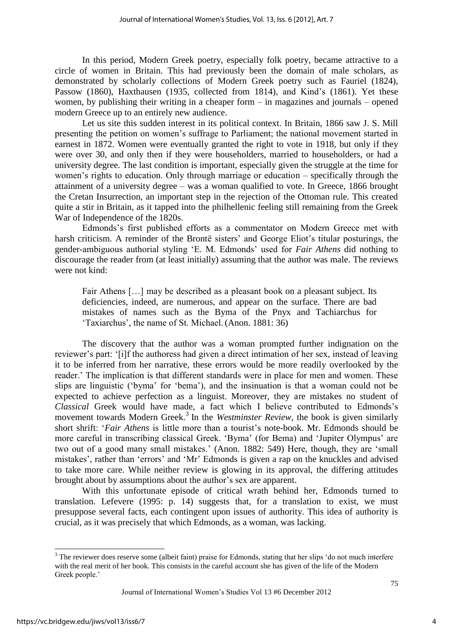In this period, Modern Greek poetry, especially folk poetry, became attractive to a circle of women in Britain. This had previously been the domain of male scholars, as demonstrated by scholarly collections of Modern Greek poetry such as Fauriel (1824), Passow (1860), Haxthausen (1935, collected from 1814), and Kind's (1861). Yet these women, by publishing their writing in a cheaper form – in magazines and journals – opened modern Greece up to an entirely new audience.

Let us site this sudden interest in its political context. In Britain, 1866 saw J. S. Mill presenting the petition on women"s suffrage to Parliament; the national movement started in earnest in 1872. Women were eventually granted the right to vote in 1918, but only if they were over 30, and only then if they were householders, married to householders, or had a university degree. The last condition is important, especially given the struggle at the time for women's rights to education. Only through marriage or education – specifically through the attainment of a university degree – was a woman qualified to vote. In Greece, 1866 brought the Cretan Insurrection, an important step in the rejection of the Ottoman rule. This created quite a stir in Britain, as it tapped into the philhellenic feeling still remaining from the Greek War of Independence of the 1820s.

Edmonds"s first published efforts as a commentator on Modern Greece met with harsh criticism. A reminder of the Brontë sisters' and George Eliot's titular posturings, the gender-ambiguous authorial styling "E. M. Edmonds" used for *Fair Athens* did nothing to discourage the reader from (at least initially) assuming that the author was male. The reviews were not kind:

Fair Athens […] may be described as a pleasant book on a pleasant subject. Its deficiencies, indeed, are numerous, and appear on the surface. There are bad mistakes of names such as the Byma of the Pnyx and Tachiarchus for "Taxiarchus", the name of St. Michael. (Anon. 1881: 36)

The discovery that the author was a woman prompted further indignation on the reviewer"s part: "[i]f the authoress had given a direct intimation of her sex, instead of leaving it to be inferred from her narrative, these errors would be more readily overlooked by the reader." The implication is that different standards were in place for men and women. These slips are linguistic ("byma" for "bema"), and the insinuation is that a woman could not be expected to achieve perfection as a linguist. Moreover, they are mistakes no student of *Classical* Greek would have made, a fact which I believe contributed to Edmonds"s movement towards Modern Greek.<sup>3</sup> In the *Westminster Review*, the book is given similarly short shrift: '*Fair Athens* is little more than a tourist's note-book. Mr. Edmonds should be more careful in transcribing classical Greek. "Byma" (for Bema) and "Jupiter Olympus" are two out of a good many small mistakes." (Anon. 1882: 549) Here, though, they are "small mistakes', rather than 'errors' and 'Mr' Edmonds is given a rap on the knuckles and advised to take more care. While neither review is glowing in its approval, the differing attitudes brought about by assumptions about the author"s sex are apparent.

With this unfortunate episode of critical wrath behind her, Edmonds turned to translation. Lefevere (1995: p. 14) suggests that, for a translation to exist, we must presuppose several facts*,* each contingent upon issues of authority. This idea of authority is crucial, as it was precisely that which Edmonds, as a woman, was lacking.

 $\overline{\phantom{a}}$ 

 $3$  The reviewer does reserve some (albeit faint) praise for Edmonds, stating that her slips 'do not much interfere with the real merit of her book. This consists in the careful account she has given of the life of the Modern Greek people.'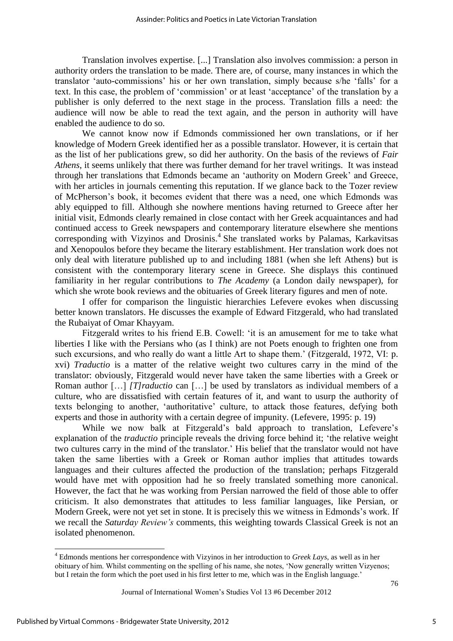Translation involves expertise. [...] Translation also involves commission: a person in authority orders the translation to be made. There are, of course, many instances in which the translator "auto-commissions" his or her own translation, simply because s/he "falls" for a text. In this case, the problem of "commission" or at least "acceptance" of the translation by a publisher is only deferred to the next stage in the process. Translation fills a need: the audience will now be able to read the text again, and the person in authority will have enabled the audience to do so.

We cannot know now if Edmonds commissioned her own translations, or if her knowledge of Modern Greek identified her as a possible translator. However, it is certain that as the list of her publications grew, so did her authority. On the basis of the reviews of *Fair Athens*, it seems unlikely that there was further demand for her travel writings. It was instead through her translations that Edmonds became an "authority on Modern Greek" and Greece, with her articles in journals cementing this reputation. If we glance back to the Tozer review of McPherson"s book, it becomes evident that there was a need, one which Edmonds was ably equipped to fill. Although she nowhere mentions having returned to Greece after her initial visit, Edmonds clearly remained in close contact with her Greek acquaintances and had continued access to Greek newspapers and contemporary literature elsewhere she mentions corresponding with Vizyinos and Drosinis. 4 She translated works by Palamas, Karkavitsas and Xenopoulos before they became the literary establishment. Her translation work does not only deal with literature published up to and including 1881 (when she left Athens) but is consistent with the contemporary literary scene in Greece. She displays this continued familiarity in her regular contributions to *The Academy* (a London daily newspaper), for which she wrote book reviews and the obituaries of Greek literary figures and men of note.

I offer for comparison the linguistic hierarchies Lefevere evokes when discussing better known translators. He discusses the example of Edward Fitzgerald, who had translated the Rubaiyat of Omar Khayyam.

Fitzgerald writes to his friend E.B. Cowell: "it is an amusement for me to take what liberties I like with the Persians who (as I think) are not Poets enough to frighten one from such excursions, and who really do want a little Art to shape them.' (Fitzgerald, 1972, VI: p. xvi) *Traductio* is a matter of the relative weight two cultures carry in the mind of the translator: obviously, Fitzgerald would never have taken the same liberties with a Greek or Roman author […] *[T]raductio* can […] be used by translators as individual members of a culture, who are dissatisfied with certain features of it, and want to usurp the authority of texts belonging to another, "authoritative" culture, to attack those features, defying both experts and those in authority with a certain degree of impunity. (Lefevere, 1995: p. 19)

While we now balk at Fitzgerald's bald approach to translation, Lefevere's explanation of the *traductio* principle reveals the driving force behind it; "the relative weight two cultures carry in the mind of the translator." His belief that the translator would not have taken the same liberties with a Greek or Roman author implies that attitudes towards languages and their cultures affected the production of the translation; perhaps Fitzgerald would have met with opposition had he so freely translated something more canonical. However, the fact that he was working from Persian narrowed the field of those able to offer criticism. It also demonstrates that attitudes to less familiar languages, like Persian, or Modern Greek, were not yet set in stone. It is precisely this we witness in Edmonds"s work. If we recall the *Saturday Review's* comments, this weighting towards Classical Greek is not an isolated phenomenon.

 $\overline{\phantom{a}}$ 

<sup>4</sup> Edmonds mentions her correspondence with Vizyinos in her introduction to *Greek Lays*, as well as in her obituary of him. Whilst commenting on the spelling of his name, she notes, "Now generally written Vizyenos; but I retain the form which the poet used in his first letter to me, which was in the English language."

Journal of International Women"s Studies Vol 13 #6 December 2012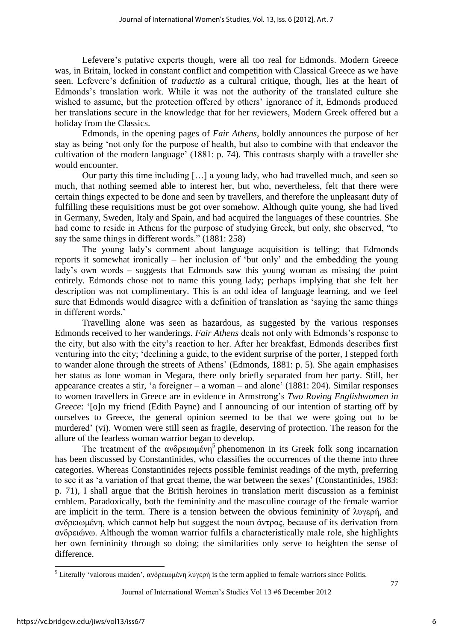Lefevere's putative experts though, were all too real for Edmonds. Modern Greece was, in Britain, locked in constant conflict and competition with Classical Greece as we have seen. Lefevere"s definition of *traductio* as a cultural critique, though, lies at the heart of Edmonds"s translation work. While it was not the authority of the translated culture she wished to assume, but the protection offered by others' ignorance of it, Edmonds produced her translations secure in the knowledge that for her reviewers, Modern Greek offered but a holiday from the Classics.

Edmonds, in the opening pages of *Fair Athens,* boldly announces the purpose of her stay as being "not only for the purpose of health, but also to combine with that endeavor the cultivation of the modern language" (1881: p. 74)*.* This contrasts sharply with a traveller she would encounter.

Our party this time including […] a young lady, who had travelled much, and seen so much, that nothing seemed able to interest her, but who, nevertheless, felt that there were certain things expected to be done and seen by travellers, and therefore the unpleasant duty of fulfilling these requisitions must be got over somehow. Although quite young, she had lived in Germany, Sweden, Italy and Spain, and had acquired the languages of these countries. She had come to reside in Athens for the purpose of studying Greek, but only, she observed, "to say the same things in different words." (1881: 258)

The young lady"s comment about language acquisition is telling; that Edmonds reports it somewhat ironically – her inclusion of "but only" and the embedding the young lady"s own words – suggests that Edmonds saw this young woman as missing the point entirely. Edmonds chose not to name this young lady; perhaps implying that she felt her description was not complimentary. This is an odd idea of language learning, and we feel sure that Edmonds would disagree with a definition of translation as "saying the same things in different words."

Travelling alone was seen as hazardous, as suggested by the various responses Edmonds received to her wanderings. *Fair Athens* deals not only with Edmonds"s response to the city, but also with the city"s reaction to her. After her breakfast, Edmonds describes first venturing into the city; "declining a guide, to the evident surprise of the porter, I stepped forth to wander alone through the streets of Athens" (Edmonds, 1881: p. 5). She again emphasises her status as lone woman in Megara, there only briefly separated from her party. Still, her appearance creates a stir, 'a foreigner – a woman – and alone'  $(1881: 204)$ . Similar responses to women travellers in Greece are in evidence in Armstrong"s *Two Roving Englishwomen in Greece*: '[o]n my friend (Edith Payne) and I announcing of our intention of starting off by ourselves to Greece, the general opinion seemed to be that we were going out to be murdered" (vi). Women were still seen as fragile, deserving of protection. The reason for the allure of the fearless woman warrior began to develop.

The treatment of the  $\alpha\nu\delta\rho\epsilon\omega\mu\epsilon\nu\eta^5$  phenomenon in its Greek folk song incarnation has been discussed by Constantinides, who classifies the occurrences of the theme into three categories. Whereas Constantinides rejects possible feminist readings of the myth, preferring to see it as 'a variation of that great theme, the war between the sexes' (Constantinides, 1983: p. 71), I shall argue that the British heroines in translation merit discussion as a feminist emblem. Paradoxically, both the femininity and the masculine courage of the female warrior are implicit in the term. There is a tension between the obvious femininity of  $\lambda v \gamma \epsilon \rho \dot{\eta}$ , and ανδρειωμένη, which cannot help but suggest the noun άντρας, because of its derivation from ανδρειώνω. Although the woman warrior fulfils a characteristically male role, she highlights her own femininity through so doing; the similarities only serve to heighten the sense of difference.

77

 $\overline{\phantom{a}}$ <sup>5</sup> Literally 'valorous maiden', ανδρειωμένη λυγερή is the term applied to female warriors since Politis.

Journal of International Women"s Studies Vol 13 #6 December 2012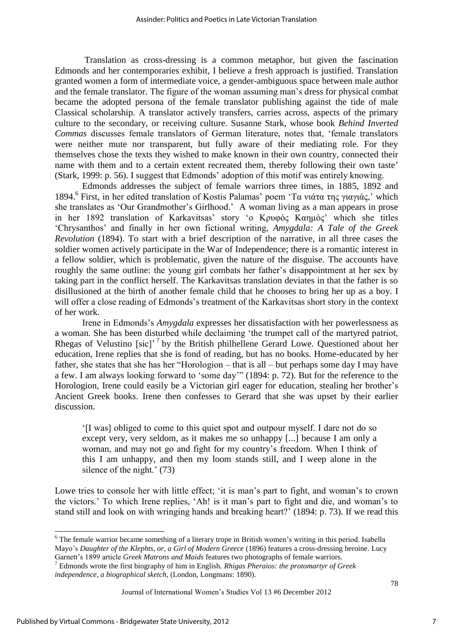Translation as cross-dressing is a common metaphor, but given the fascination Edmonds and her contemporaries exhibit, I believe a fresh approach is justified. Translation granted women a form of intermediate voice, a gender-ambiguous space between male author and the female translator. The figure of the woman assuming man"s dress for physical combat became the adopted persona of the female translator publishing against the tide of male Classical scholarship. A translator actively transfers, carries across, aspects of the primary culture to the secondary, or receiving culture. Susanne Stark, whose book *Behind Inverted Commas* discusses female translators of German literature, notes that, "female translators were neither mute nor transparent, but fully aware of their mediating role. For they themselves chose the texts they wished to make known in their own country, connected their name with them and to a certain extent recreated them, thereby following their own taste' (Stark, 1999: p. 56). I suggest that Edmonds" adoption of this motif was entirely knowing.

Edmonds addresses the subject of female warriors three times, in 1885, 1892 and 1894.<sup>6</sup> First, in her edited translation of Kostis Palamas' poem 'Τα νιάτα της γιαγιάς,' which she translates as 'Our Grandmother's Girlhood.' A woman living as a man appears in prose in her 1892 translation of Karkavitsas' story 'ο Κρυφός Καημός' which she titles "Chrysanthos" and finally in her own fictional writing, *Amygdala: A Tale of the Greek Revolution* (1894). To start with a brief description of the narrative, in all three cases the soldier women actively participate in the War of Independence; there is a romantic interest in a fellow soldier, which is problematic, given the nature of the disguise. The accounts have roughly the same outline: the young girl combats her father"s disappointment at her sex by taking part in the conflict herself. The Karkavitsas translation deviates in that the father is so disillusioned at the birth of another female child that he chooses to bring her up as a boy. I will offer a close reading of Edmonds's treatment of the Karkavitsas short story in the context of her work.

Irene in Edmonds"s *Amygdala* expresses her dissatisfaction with her powerlessness as a woman. She has been disturbed while declaiming "the trumpet call of the martyred patriot, Rhegas of Velustino  $[sic]$ <sup>, 7</sup> by the British philhellene Gerard Lowe. Questioned about her education, Irene replies that she is fond of reading, but has no books. Home-educated by her father, she states that she has her "Horologion – that is all – but perhaps some day I may have a few. I am always looking forward to "some day"" (1894: p. 72). But for the reference to the Horologion, Irene could easily be a Victorian girl eager for education, stealing her brother's Ancient Greek books. Irene then confesses to Gerard that she was upset by their earlier discussion.

"[I was] obliged to come to this quiet spot and outpour myself. I dare not do so except very, very seldom, as it makes me so unhappy [...] because I am only a woman, and may not go and fight for my country"s freedom. When I think of this I am unhappy, and then my loom stands still, and I weep alone in the silence of the night.'  $(73)$ 

Lowe tries to console her with little effect; 'it is man's part to fight, and woman's to crown the victors." To which Irene replies, "Ah! is it man"s part to fight and die, and woman"s to stand still and look on with wringing hands and breaking heart?" (1894: p. 73). If we read this

Journal of International Women"s Studies Vol 13 #6 December 2012

 $\overline{a}$ 

<sup>&</sup>lt;sup>6</sup> The female warrior became something of a literary trope in British women's writing in this period. Isabella Mayo"s *Daughter of the Klephts, or, a Girl of Modern Greece* (1896) features a cross-dressing heroine. Lucy Garnett's 1899 article *Greek Matrons and Maids* features two photographs of female warriors.

<sup>7</sup> Edmonds wrote the first biography of him in English. *Rhigas Pheraios: the protomartyr of Greek independence, a biographical sketch,* (London, Longmans: 1890).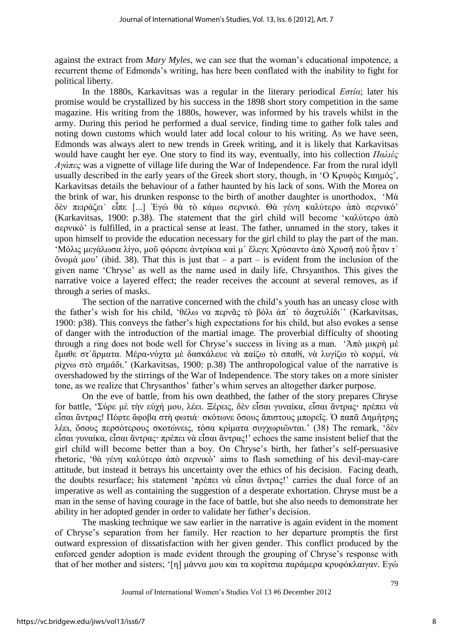against the extract from *Mary Myles*, we can see that the woman"s educational impotence, a recurrent theme of Edmonds"s writing, has here been conflated with the inability to fight for political liberty.

In the 1880s, Karkavitsas was a regular in the literary periodical *Εστία*; later his promise would be crystallized by his success in the 1898 short story competition in the same magazine. His writing from the 1880s, however, was informed by his travels whilst in the army. During this period he performed a dual service, finding time to gather folk tales and noting down customs which would later add local colour to his writing. As we have seen, Edmonds was always alert to new trends in Greek writing, and it is likely that Karkavitsas would have caught her eye. One story to find its way, eventually, into his collection *Παλιές Αγάπες* was a vignette of village life during the War of Independence. Far from the rural idyll usually described in the early years of the Greek short story, though, in 'Ο Κρυφὸς Καημός', Karkavitsas details the behaviour of a father haunted by his lack of sons. With the Morea on the brink of war, his drunken response to the birth of another daughter is unorthodox, "Μὰ δὲν πειράζει εἶπε [...] Ἐγώ θὰ τὸ κάμω σερνικό. Θὰ γένη καλύτερο ἀπὸ σερνικό' (Karkavitsas, 1900: p.38). The statement that the girl child will become 'καλύτερο άπὸ ζεξληθὸ" is fulfilled, in a practical sense at least. The father, unnamed in the story, takes it upon himself to provide the education necessary for the girl child to play the part of the man. "Μόλις μεγάλωσα λίγο, μοῦ φόρεσε ἀντρίκια καὶ μ' ἔλεγε Χρύσαντο ἀπὸ Χρυσῆ ποὺ ἦταν τ  $\ddot{\text{o}}$ νομά μου' (ibid. 38). That this is just that – a part – is evident from the inclusion of the given name "Chryse" as well as the name used in daily life, Chrsyanthos. This gives the narrative voice a layered effect; the reader receives the account at several removes, as if through a series of masks.

The section of the narrative concerned with the child"s youth has an uneasy close with the father's wish for his child, 'θέλω να περνᾶς τὸ βόλι ἀπ' τὸ δαχτυλίδι'' (Karkavitsas, 1900: p38). This conveys the father"s high expectations for his child, but also evokes a sense of danger with the introduction of the martial image. The proverbial difficulty of shooting through a ring does not bode well for Chryse's success in living as a man. 'Aπὸ μικρὴ μὲ ἔμαθε στ'ἄρματα. Μέρα-νύγτα μὲ δασκάλευε νὰ παίζω τὸ σπαθί, νὰ λυγίζω τὸ κορμί, νὰ  $ρίγνω στδ σημάδι.' (Karkavitsas, 1900: p.38) The anthropological value of the narrative is$ overshadowed by the stirrings of the War of Independence. The story takes on a more sinister tone, as we realize that Chrysanthos' father's whim serves an altogether darker purpose.

On the eve of battle, from his own deathbed, the father of the story prepares Chryse for battle, 'Σύρε με την εύχή μου, λέει. Ξέρεις, δεν εἶσαι γυναίκα, εἶσαι ἄντρας· πρέπει να εἶσαι ἄντρας! Πέφτε ἄφοβα στη φωτιά· σκότωνε ὅσους ἄπιστους μπορεῖς. Ὁ παπᾶ Δημήτρης λέει, ὄσους περσότερους σκοτώνεις, τόσα κρίματα συγχωριῶνται.' (38) The remark, 'δὲν εἶσαι γυναίκα, εἶσαι ἄντρας· πρέπει νὰ εἶσαι ἄντρας!' echoes the same insistent belief that the girl child will become better than a boy. On Chryse"s birth, her father"s self-persuasive rhetoric, 'θὰ γένη καλύτερο ἀπὸ σερνικὸ' aims to flash something of his devil-may-care attitude, but instead it betrays his uncertainty over the ethics of his decision. Facing death, the doubts resurface; his statement 'πρέπει νὰ εἶσαι ἄντρας!' carries the dual force of an imperative as well as containing the suggestion of a desperate exhortation. Chryse must be a man in the sense of having courage in the face of battle, but she also needs to demonstrate her ability in her adopted gender in order to validate her father"s decision.

The masking technique we saw earlier in the narrative is again evident in the moment of Chryse"s separation from her family. Her reaction to her departure promptis the first outward expression of dissatisfaction with her given gender. This conflict produced by the enforced gender adoption is made evident through the grouping of Chryse"s response with that of her mother and sisters; '[η] μάννα μου και τα κορίτσια παράμερα κρυφόκλαιγαν. Εγώ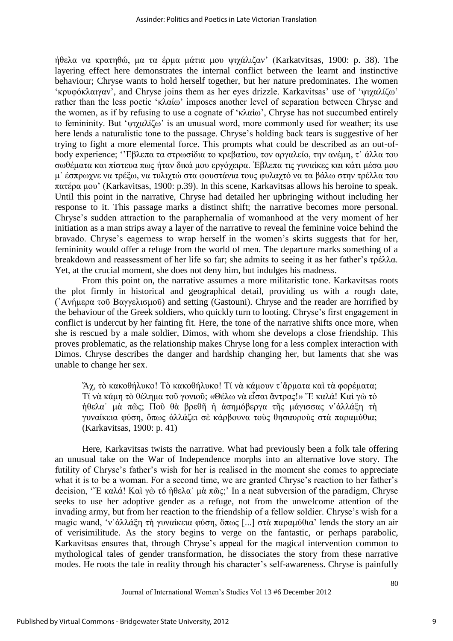ήθελα να κρατηθώ, μα τα έρμα μάτια μου ψιχάλιζαν' (Karkatvitsas, 1900: p. 38). The layering effect here demonstrates the internal conflict between the learnt and instinctive behaviour; Chryse wants to hold herself together, but her nature predominates. The women "κρυφόκλαιγαν", and Chryse joins them as her eyes drizzle. Karkavitsas' use of "ψιχαλίζω" rather than the less poetic 'κλαίω' imposes another level of separation between Chryse and the women, as if by refusing to use a cognate of 'κλαίω', Chryse has not succumbed entirely to femininity. But ' $\psi$ ιγαλίζω' is an unusual word, more commonly used for weather; its use here lends a naturalistic tone to the passage. Chryse"s holding back tears is suggestive of her trying to fight a more elemental force. This prompts what could be described as an out-ofbody experience; "Εβλεπα τα στρωσίδια το κρεβατίου, τον αργαλείο, την ανέμη, τ' άλλα του σωθέματα και πίστευα πως ήταν δικά μου εργόχειρα. Έβλεπα τις γυναίκες και κάτι μέσα μου μ' έσπρωχνε να τρέξω, να τυλιχτώ στα φουστάνια τους φυλαχτό να τα βάλω στην τρέλλα του πατέρα μου' (Karkavitsas, 1900: p.39). In this scene, Karkavitsas allows his heroine to speak. Until this point in the narrative, Chryse had detailed her upbringing without including her response to it. This passage marks a distinct shift; the narrative becomes more personal. Chryse"s sudden attraction to the paraphernalia of womanhood at the very moment of her initiation as a man strips away a layer of the narrative to reveal the feminine voice behind the bravado. Chryse"s eagerness to wrap herself in the women"s skirts suggests that for her, femininity would offer a refuge from the world of men. The departure marks something of a breakdown and reassessment of her life so far; she admits to seeing it as her father's τρέλλα. Yet, at the crucial moment, she does not deny him, but indulges his madness.

From this point on, the narrative assumes a more militaristic tone. Karkavitsas roots the plot firmly in historical and geographical detail, providing us with a rough date, ('Aνήμερα τοῦ Βαγγελισμοῦ) and setting (Gastouni). Chryse and the reader are horrified by the behaviour of the Greek soldiers, who quickly turn to looting. Chryse"s first engagement in conflict is undercut by her fainting fit. Here, the tone of the narrative shifts once more, when she is rescued by a male soldier, Dimos, with whom she develops a close friendship. This proves problematic, as the relationship makes Chryse long for a less complex interaction with Dimos. Chryse describes the danger and hardship changing her, but laments that she was unable to change her sex.

"Άχ, τὸ κακοθήλυκο! Τὸ κακοθήλυκο! Τί νὰ κάμουν τ'ἄρματα καὶ τὰ φορέματα; Τί νὰ κάμη τὸ θέλημα τοῦ γονιοῦ; «Θέλω νὰ εἶσαι ἄντρας!» Ἐ καλά! Καὶ γὼ τό ήθελα μὰ πῶς; Ποῦ θὰ βρεθῆ ἡ ἀσημόβεργα τῆς μάγισσας ν'ἀλλάξη τη γυναίκεια φύση, ὅπως ἀλλάζει σὲ κάρβουνα τούς θησαυρούς στὰ παραμύθια; (Karkavitsas, 1900: p. 41)

Here, Karkavitsas twists the narrative. What had previously been a folk tale offering an unusual take on the War of Independence morphs into an alternative love story. The futility of Chryse's father's wish for her is realised in the moment she comes to appreciate what it is to be a woman. For a second time, we are granted Chryse's reaction to her father's decision, "Έ καλά! Καὶ γὼ τό ἠθελα μὰ πῶς;' In a neat subversion of the paradigm, Chryse seeks to use her adoptive gender as a refuge, not from the unwelcome attention of the invading army, but from her reaction to the friendship of a fellow soldier. Chryse's wish for a magic wand, 'ν' άλλάξη τη γυναίκεια φύση, ὅπως [...] στὰ παραμύθια' lends the story an air of verisimilitude. As the story begins to verge on the fantastic, or perhaps parabolic, Karkavitsas ensures that, through Chryse"s appeal for the magical intervention common to mythological tales of gender transformation, he dissociates the story from these narrative modes. He roots the tale in reality through his character's self-awareness. Chryse is painfully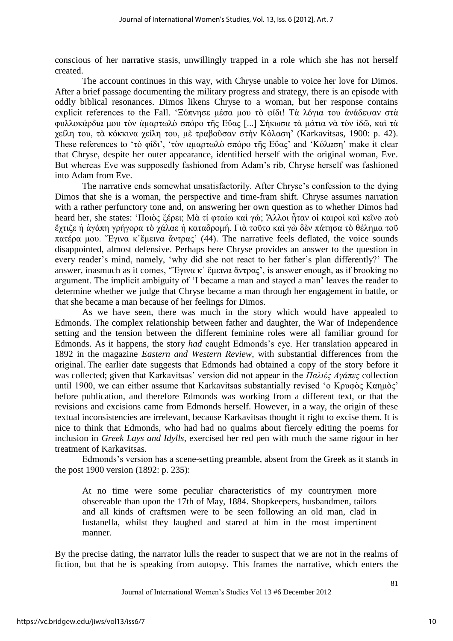conscious of her narrative stasis, unwillingly trapped in a role which she has not herself created.

The account continues in this way, with Chryse unable to voice her love for Dimos. After a brief passage documenting the military progress and strategy, there is an episode with oddly biblical resonances. Dimos likens Chryse to a woman, but her response contains explicit references to the Fall. 'Ξύπνησε μέσα μου τὸ φίδι! Τὰ λόγια του ἀνάδεψαν στὰ φυλλοκάρδια μου τὸν ἁμαρτωλὸ σπόρο τῆς Εὔας [...] Σήκωσα τὰ μάτια νὰ τὸν ἰδῶ, καὶ τὰ γείλη του, τὰ κόκκινα γείλη του, μὲ τραβοῦσαν στὴν Κόλαση' (Karkavitsas, 1900: p. 42). These references to 'τὸ φίδι', 'τὸν αμαρτωλὸ σπόρο τῆς Εὔας' and 'Κόλαση' make it clear that Chryse, despite her outer appearance, identified herself with the original woman, Eve. But whereas Eve was supposedly fashioned from Adam"s rib, Chryse herself was fashioned into Adam from Eve.

The narrative ends somewhat unsatisfactorily. After Chryse's confession to the dying Dimos that she is a woman, the perspective and time-fram shift. Chryse assumes narration with a rather perfunctory tone and, on answering her own question as to whether Dimos had heard her, she states: 'Ποιὸς ξέρει; Μὰ τί φταίω καὶ γώ; Ἄλλοι ἦταν οἱ καιροὶ καὶ κεῖνο ποὺ ἔχτιζε ή ἀγάπη γρήγορα τὸ χάλαε ή καταδρομή. Γιὰ τοῦτο καὶ γὼ δὲν πάτησα τὸ θέλημα τοῦ πατέρα μου. Έγινα κ'έμεινα ἄντρας' (44). The narrative feels deflated, the voice sounds disappointed, almost defensive. Perhaps here Chryse provides an answer to the question in every reader"s mind, namely, "why did she not react to her father"s plan differently?" The answer, inasmuch as it comes, "Έγινα κ' ἔμεινα ἄντρας', is answer enough, as if brooking no argument. The implicit ambiguity of "I became a man and stayed a man" leaves the reader to determine whether we judge that Chryse became a man through her engagement in battle, or that she became a man because of her feelings for Dimos.

As we have seen, there was much in the story which would have appealed to Edmonds. The complex relationship between father and daughter, the War of Independence setting and the tension between the different feminine roles were all familiar ground for Edmonds. As it happens, the story *had* caught Edmonds"s eye. Her translation appeared in 1892 in the magazine *Eastern and Western Review*, with substantial differences from the original. The earlier date suggests that Edmonds had obtained a copy of the story before it was collected; given that Karkavitsas" version did not appear in the *Παλιές Αγάπες* collection until 1900, we can either assume that Karkavitsas substantially revised 'ο Κρυφὸς Καημὸς' before publication, and therefore Edmonds was working from a different text, or that the revisions and excisions came from Edmonds herself. However, in a way, the origin of these textual inconsistencies are irrelevant, because Karkavitsas thought it right to excise them. It is nice to think that Edmonds, who had had no qualms about fiercely editing the poems for inclusion in *Greek Lays and Idylls*, exercised her red pen with much the same rigour in her treatment of Karkavitsas.

Edmonds"s version has a scene-setting preamble, absent from the Greek as it stands in the post 1900 version (1892: p. 235):

At no time were some peculiar characteristics of my countrymen more observable than upon the 17th of May, 1884. Shopkeepers, husbandmen, tailors and all kinds of craftsmen were to be seen following an old man, clad in fustanella, whilst they laughed and stared at him in the most impertinent manner.

By the precise dating, the narrator lulls the reader to suspect that we are not in the realms of fiction, but that he is speaking from autopsy. This frames the narrative, which enters the

Journal of International Women"s Studies Vol 13 #6 December 2012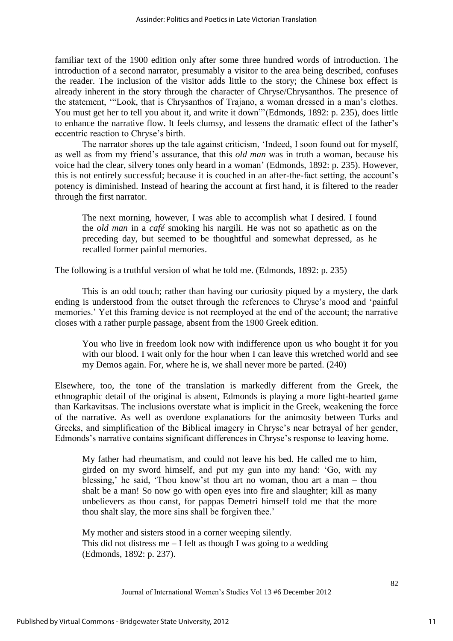familiar text of the 1900 edition only after some three hundred words of introduction. The introduction of a second narrator, presumably a visitor to the area being described, confuses the reader. The inclusion of the visitor adds little to the story; the Chinese box effect is already inherent in the story through the character of Chryse/Chrysanthos. The presence of the statement, ""Look, that is Chrysanthos of Trajano, a woman dressed in a man"s clothes. You must get her to tell you about it, and write it down""(Edmonds, 1892: p. 235), does little to enhance the narrative flow. It feels clumsy, and lessens the dramatic effect of the father"s eccentric reaction to Chryse"s birth.

The narrator shores up the tale against criticism, "Indeed, I soon found out for myself, as well as from my friend"s assurance, that this *old man* was in truth a woman, because his voice had the clear, silvery tones only heard in a woman" (Edmonds, 1892: p. 235). However, this is not entirely successful; because it is couched in an after-the-fact setting, the account"s potency is diminished. Instead of hearing the account at first hand, it is filtered to the reader through the first narrator.

The next morning, however, I was able to accomplish what I desired. I found the *old man* in a *café* smoking his nargili. He was not so apathetic as on the preceding day, but seemed to be thoughtful and somewhat depressed, as he recalled former painful memories.

The following is a truthful version of what he told me. (Edmonds, 1892: p. 235)

This is an odd touch; rather than having our curiosity piqued by a mystery, the dark ending is understood from the outset through the references to Chryse"s mood and "painful memories." Yet this framing device is not reemployed at the end of the account; the narrative closes with a rather purple passage, absent from the 1900 Greek edition.

You who live in freedom look now with indifference upon us who bought it for you with our blood. I wait only for the hour when I can leave this wretched world and see my Demos again. For, where he is, we shall never more be parted. (240)

Elsewhere, too, the tone of the translation is markedly different from the Greek, the ethnographic detail of the original is absent, Edmonds is playing a more light-hearted game than Karkavitsas. The inclusions overstate what is implicit in the Greek, weakening the force of the narrative. As well as overdone explanations for the animosity between Turks and Greeks, and simplification of the Biblical imagery in Chryse's near betrayal of her gender, Edmonds's narrative contains significant differences in Chryse's response to leaving home.

My father had rheumatism, and could not leave his bed. He called me to him, girded on my sword himself, and put my gun into my hand: "Go, with my blessing,' he said, 'Thou know'st thou art no woman, thou art a man – thou shalt be a man! So now go with open eyes into fire and slaughter; kill as many unbelievers as thou canst, for pappas Demetri himself told me that the more thou shalt slay, the more sins shall be forgiven thee.'

My mother and sisters stood in a corner weeping silently. This did not distress me  $-$  I felt as though I was going to a wedding (Edmonds, 1892: p. 237).

Journal of International Women"s Studies Vol 13 #6 December 2012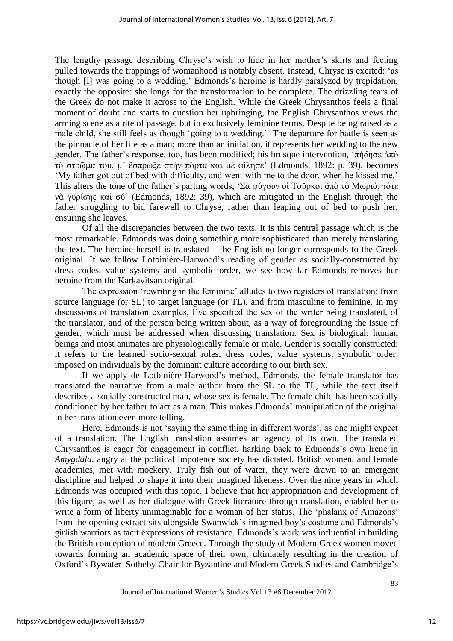The lengthy passage describing Chryse's wish to hide in her mother's skirts and feeling pulled towards the trappings of womanhood is notably absent. Instead, Chryse is excited: "as though [I] was going to a wedding." Edmonds"s heroine is hardly paralyzed by trepidation, exactly the opposite: she longs for the transformation to be complete. The drizzling tears of the Greek do not make it across to the English. While the Greek Chrysanthos feels a final moment of doubt and starts to question her upbringing, the English Chrysanthos views the arming scene as a rite of passage, but in exclusively feminine terms. Despite being raised as a male child, she still feels as though "going to a wedding." The departure for battle is seen as the pinnacle of her life as a man; more than an initiation, it represents her wedding to the new gender. The father's response, too, has been modified; his brusque intervention, 'πήδησε άπὸ τὸ στρῶμα του, μ' ἔσπρωξε στὴν πόρτα καὶ μὲ φίλησε' (Edmonds, 1892: p. 39), becomes "My father got out of bed with difficulty, and went with me to the door, when he kissed me." This alters the tone of the father's parting words, 'Σὰ φύγουν οἱ Τοῦρκοι ἀπὸ τὸ Μωριά, τότε νὰ γυρίσης καὶ σύ' (Edmonds, 1892: 39), which are mitigated in the English through the father struggling to bid farewell to Chryse, rather than leaping out of bed to push her, ensuring she leaves.

Of all the discrepancies between the two texts, it is this central passage which is the most remarkable. Edmonds was doing something more sophisticated than merely translating the text. The heroine herself is translated – the English no longer corresponds to the Greek original. If we follow Lotbinière-Harwood"s reading of gender as socially-constructed by dress codes, value systems and symbolic order, we see how far Edmonds removes her heroine from the Karkavitsan original.

The expression 'rewriting in the feminine' alludes to two registers of translation: from source language (or SL) to target language (or TL), and from masculine to feminine. In my discussions of translation examples, I've specified the sex of the writer being translated, of the translator, and of the person being written about, as a way of foregrounding the issue of gender, which must be addressed when discussing translation. Sex is biological: human beings and most animates are physiologically female or male. Gender is socially constructed: it refers to the learned socio-sexual roles, dress codes, value systems, symbolic order, imposed on individuals by the dominant culture according to our birth sex.

If we apply de Lotbinière-Harwood"s method, Edmonds, the female translator has translated the narrative from a male author from the SL to the TL, while the text itself describes a socially constructed man, whose sex is female. The female child has been socially conditioned by her father to act as a man. This makes Edmonds" manipulation of the original in her translation even more telling.

Here, Edmonds is not 'saying the same thing in different words', as one might expect of a translation. The English translation assumes an agency of its own. The translated Chrysanthos is eager for engagement in conflict, harking back to Edmonds"s own Irene in *Amygdala*, angry at the political impotence society has dictated. British women, and female academics, met with mockery. Truly fish out of water, they were drawn to an emergent discipline and helped to shape it into their imagined likeness. Over the nine years in which Edmonds was occupied with this topic, I believe that her appropriation and development of this figure, as well as her dialogue with Greek literature through translation, enabled her to write a form of liberty unimaginable for a woman of her status. The 'phalanx of Amazons' from the opening extract sits alongside Swanwick"s imagined boy"s costume and Edmonds"s girlish warriors as tacit expressions of resistance. Edmonds"s work was influential in building the British conception of modern Greece. Through the study of Modern Greek women moved towards forming an academic space of their own, ultimately resulting in the creation of Oxford"s Bywater–Sotheby Chair for Byzantine and Modern Greek Studies and Cambridge"s